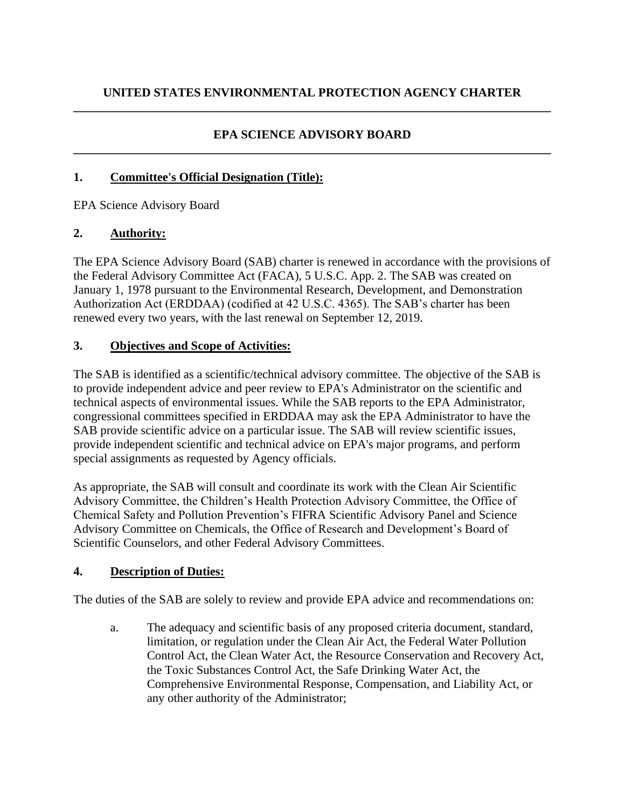#### **EPA SCIENCE ADVISORY BOARD \_\_\_\_\_\_\_\_\_\_\_\_\_\_\_\_\_\_\_\_\_\_\_\_\_\_\_\_\_\_\_\_\_\_\_\_\_\_\_\_\_\_\_\_\_\_\_\_\_\_\_\_\_\_\_\_\_\_\_\_\_\_\_\_\_\_\_\_\_\_\_\_\_\_\_\_\_\_**

#### **1. Committee's Official Designation (Title):**

EPA Science Advisory Board

#### **2. Authority:**

The EPA Science Advisory Board (SAB) charter is renewed in accordance with the provisions of the Federal Advisory Committee Act (FACA), 5 U.S.C. App. 2. The SAB was created on January 1, 1978 pursuant to the Environmental Research, Development, and Demonstration Authorization Act (ERDDAA) (codified at 42 U.S.C. 4365). The SAB's charter has been renewed every two years, with the last renewal on September 12, 2019.

#### **3. Objectives and Scope of Activities:**

The SAB is identified as a scientific/technical advisory committee. The objective of the SAB is to provide independent advice and peer review to EPA's Administrator on the scientific and technical aspects of environmental issues. While the SAB reports to the EPA Administrator, congressional committees specified in ERDDAA may ask the EPA Administrator to have the SAB provide scientific advice on a particular issue. The SAB will review scientific issues, provide independent scientific and technical advice on EPA's major programs, and perform special assignments as requested by Agency officials.

As appropriate, the SAB will consult and coordinate its work with the Clean Air Scientific Advisory Committee, the Children's Health Protection Advisory Committee, the Office of Chemical Safety and Pollution Prevention's FIFRA Scientific Advisory Panel and Science Advisory Committee on Chemicals, the Office of Research and Development's Board of Scientific Counselors, and other Federal Advisory Committees.

# **4. Description of Duties:**

The duties of the SAB are solely to review and provide EPA advice and recommendations on:

a. The adequacy and scientific basis of any proposed criteria document, standard, limitation, or regulation under the Clean Air Act, the Federal Water Pollution Control Act, the Clean Water Act, the Resource Conservation and Recovery Act, the Toxic Substances Control Act, the Safe Drinking Water Act, the Comprehensive Environmental Response, Compensation, and Liability Act, or any other authority of the Administrator;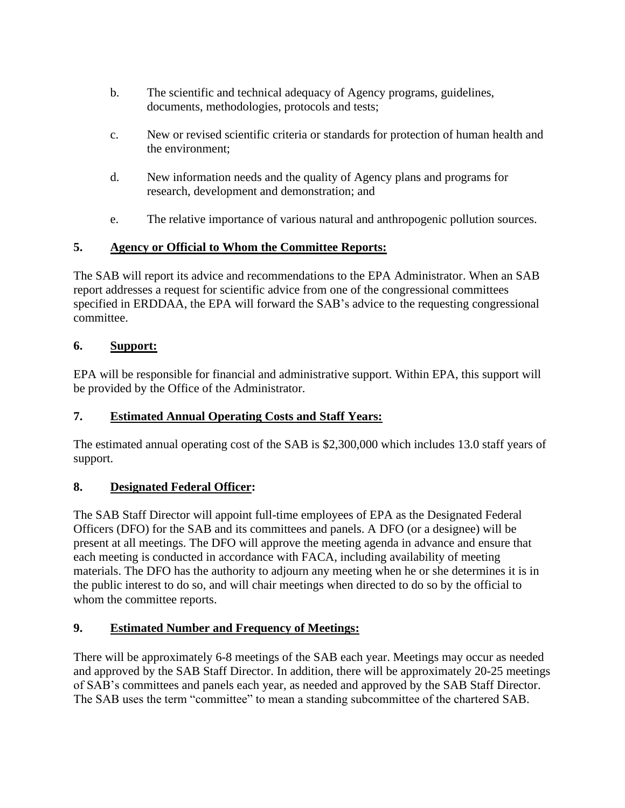- b. The scientific and technical adequacy of Agency programs, guidelines, documents, methodologies, protocols and tests;
- c. New or revised scientific criteria or standards for protection of human health and the environment;
- d. New information needs and the quality of Agency plans and programs for research, development and demonstration; and
- e. The relative importance of various natural and anthropogenic pollution sources.

# **5. Agency or Official to Whom the Committee Reports:**

The SAB will report its advice and recommendations to the EPA Administrator. When an SAB report addresses a request for scientific advice from one of the congressional committees specified in ERDDAA, the EPA will forward the SAB's advice to the requesting congressional committee.

#### **6. Support:**

EPA will be responsible for financial and administrative support. Within EPA, this support will be provided by the Office of the Administrator.

# **7. Estimated Annual Operating Costs and Staff Years:**

The estimated annual operating cost of the SAB is \$2,300,000 which includes 13.0 staff years of support.

# **8. Designated Federal Officer:**

The SAB Staff Director will appoint full-time employees of EPA as the Designated Federal Officers (DFO) for the SAB and its committees and panels. A DFO (or a designee) will be present at all meetings. The DFO will approve the meeting agenda in advance and ensure that each meeting is conducted in accordance with FACA, including availability of meeting materials. The DFO has the authority to adjourn any meeting when he or she determines it is in the public interest to do so, and will chair meetings when directed to do so by the official to whom the committee reports.

# **9. Estimated Number and Frequency of Meetings:**

There will be approximately 6-8 meetings of the SAB each year. Meetings may occur as needed and approved by the SAB Staff Director. In addition, there will be approximately 20-25 meetings of SAB's committees and panels each year, as needed and approved by the SAB Staff Director. The SAB uses the term "committee" to mean a standing subcommittee of the chartered SAB.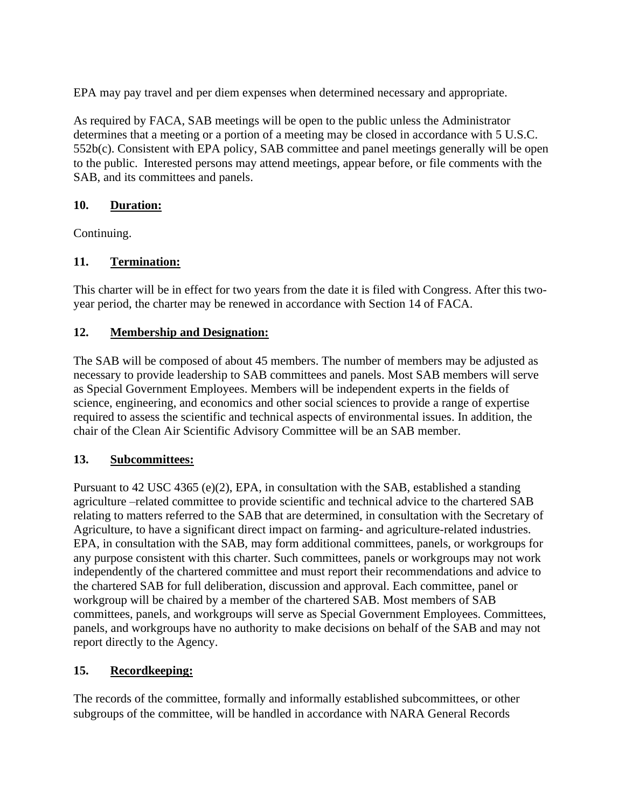EPA may pay travel and per diem expenses when determined necessary and appropriate.

As required by FACA, SAB meetings will be open to the public unless the Administrator determines that a meeting or a portion of a meeting may be closed in accordance with 5 U.S.C. 552b(c). Consistent with EPA policy, SAB committee and panel meetings generally will be open to the public. Interested persons may attend meetings, appear before, or file comments with the SAB, and its committees and panels.

#### **10. Duration:**

Continuing.

# **11. Termination:**

This charter will be in effect for two years from the date it is filed with Congress. After this twoyear period, the charter may be renewed in accordance with Section 14 of FACA.

# **12. Membership and Designation:**

The SAB will be composed of about 45 members. The number of members may be adjusted as necessary to provide leadership to SAB committees and panels. Most SAB members will serve as Special Government Employees. Members will be independent experts in the fields of science, engineering, and economics and other social sciences to provide a range of expertise required to assess the scientific and technical aspects of environmental issues. In addition, the chair of the Clean Air Scientific Advisory Committee will be an SAB member.

# **13. Subcommittees:**

Pursuant to 42 USC 4365 (e)(2), EPA, in consultation with the SAB, established a standing agriculture –related committee to provide scientific and technical advice to the chartered SAB relating to matters referred to the SAB that are determined, in consultation with the Secretary of Agriculture, to have a significant direct impact on farming- and agriculture-related industries. EPA, in consultation with the SAB, may form additional committees, panels, or workgroups for any purpose consistent with this charter. Such committees, panels or workgroups may not work independently of the chartered committee and must report their recommendations and advice to the chartered SAB for full deliberation, discussion and approval. Each committee, panel or workgroup will be chaired by a member of the chartered SAB. Most members of SAB committees, panels, and workgroups will serve as Special Government Employees. Committees, panels, and workgroups have no authority to make decisions on behalf of the SAB and may not report directly to the Agency.

# **15. Recordkeeping:**

The records of the committee, formally and informally established subcommittees, or other subgroups of the committee, will be handled in accordance with NARA General Records